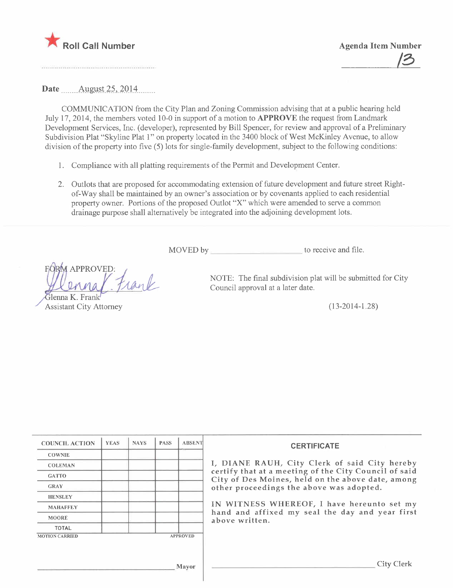

Date  $\frac{\text{August }25, 2014}{\text{August }25, 2014}$ 

COMMUNCATION from the City Plan and Zoning Commssion advising that at a public hearing held July 17, 2014, the members voted 10-0 in support of a motion to APPROVE the request from Landmark Development Services, Inc. (developer), represented by Bill Spencer, for review and approval of a Preliminary Subdivision Plat "Skyline Plat 1" on property located in the 3400 block of West McKinley Avenue, to allow division of the property into five (5) lots for single-family development, subject to the following conditions:

- 1. Compliance with all platting requirements of the Permt and Development Center.
- 2. Outlots that are proposed for accommodating extension of future development and future street Rightof-Way shall be maintained by an owner's association or by covenants applied to each residential property owner. Portions of the proposed Outlot "X" which were amended to serve a common drainage purpose shall alternatively be integrated into the adjoining development lots.

MOVED by to receive and file.

**FORM APPROVED:** rank

Glenna K. Frank **Assistant City Attorney** 

NOTE: The final subdivision plat will be submitted for City Council approval at a later date.

(13-2014-1.28)

| <b>COUNCIL ACTION</b> | <b>YEAS</b> | <b>NAYS</b> | <b>PASS</b> | <b>ABSENT</b>   |
|-----------------------|-------------|-------------|-------------|-----------------|
| <b>COWNIE</b>         |             |             |             |                 |
| <b>COLEMAN</b>        |             |             |             |                 |
| <b>GATTO</b>          |             |             |             |                 |
| <b>GRAY</b>           |             |             |             |                 |
| <b>HENSLEY</b>        |             |             |             |                 |
| <b>MAHAFFEY</b>       |             |             |             |                 |
| <b>MOORE</b>          |             |             |             |                 |
| <b>TOTAL</b>          |             |             |             |                 |
| <b>MOTION CARRIED</b> |             |             |             | <b>APPROVED</b> |

#### **CERTIFICATE**

NE RAUH, City Clerk of said City hereby that at a meeting of the City Council of said Des Moines, held on the above date, among roceedings the above was adopted.

TNESS WHEREOF, I have hereunto set my hand and affixed my seal the day and year first written.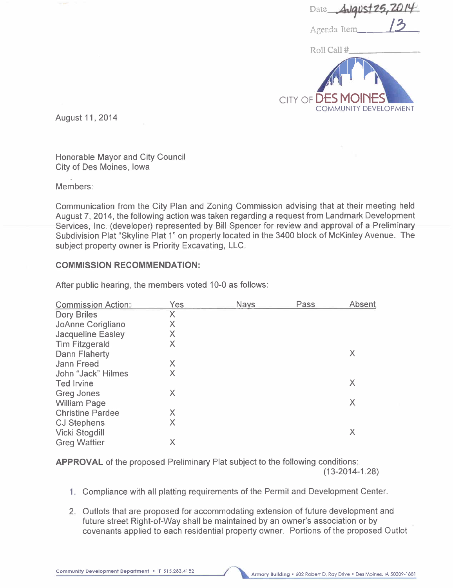| Date <b>August 25, 2014</b> |
|-----------------------------|
|                             |
| Agenda Item                 |

Roll Call #



August 11,2014

Honorable Mayor and City Council City of Des Moines, Iowa

Members:

Communication from the City Plan and Zoning Commission advising that at their meeting held August 7,2014, the following action was taken regarding a request from Landmark Development Services, Inc. (developer) represented by Bill Spencer for review and approval of a Preliminary Subdivision Plat "Skyline Plat 1" on property located in the 3400 block of McKinley Avenue. The subject property owner is Priority Excavating, LLC.

# COMMISSION RECOMMENDATION:

| <b>Commission Action:</b> | Yes | <b>Nays</b> | Pass | <b>Absent</b> |
|---------------------------|-----|-------------|------|---------------|
| <b>Dory Briles</b>        | Χ   |             |      |               |
| JoAnne Corigliano         | Χ   |             |      |               |
| <b>Jacqueline Easley</b>  | Χ   |             |      |               |
| <b>Tim Fitzgerald</b>     | X   |             |      |               |
| Dann Flaherty             |     |             |      | Χ             |
| <b>Jann Freed</b>         | Χ   |             |      |               |
| John "Jack" Hilmes        | Χ   |             |      |               |
| Ted Irvine                |     |             |      | Χ             |
| <b>Greg Jones</b>         | X   |             |      |               |
| <b>William Page</b>       |     |             |      | Χ             |
| <b>Christine Pardee</b>   | X   |             |      |               |
| <b>CJ Stephens</b>        | X   |             |      |               |
| <b>Vicki Stogdill</b>     |     |             |      | Χ             |
| <b>Greg Wattier</b>       | Х   |             |      |               |

After public hearing, the members voted 10-0 as follows:

APPROVAL of the proposed Preliminary Plat subject to the following conditions:

(13-2014-1.28)

- 1. Compliance with all platting requirements of the Permit and Development Center.
- 2. Outlots that are proposed for accommodating extension of future development and future street Right-of-Way shall be maintained by an owner's association or by covenants applied to each residential property owner. Portions of the proposed Outlot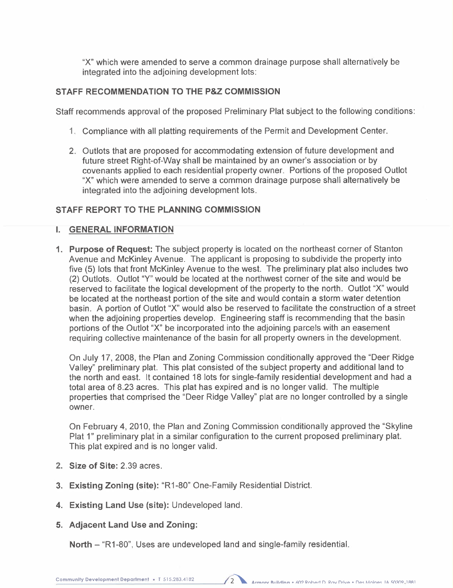"X" which were amended to serve a common drainage purpose shall alternatively be integrated into the adjoining development lots:

# STAFF RECOMMENDATION TO THE P&Z COMMISSION

Staff recommends approval of the proposed Preliminary Plat subject to the following conditions:

- 1. Compliance with all platting requirements of the Permit and Development Center.
- 2. Outlots that are proposed for accommodating extension of future development and future street Right-of-Way shall be maintained by an owner's association or by covenants applied to each residential property owner. Portions of the proposed Outlot "X" which were amended to serve a common drainage purpose shall alternatively be integrated into the adjoining development lots.

# STAFF REPORT TO THE PLANNING COMMISSION

## i. GENERAL INFORMATION

1. Purpose of Request: The subject property is located on the northeast corner of Stanton Avenue and McKinley Avenue. The applicant is proposing to subdivide the property into five (5) lots that front McKinley Avenue to the west. The preliminary plat also includes two (2) Outlots. Outlot "Y" would be located at the northwest corner of the site and would be reserved to facilitate the logical development of the property to the north. Outlot "X" would be located at the northeast portion of the site and would contain a storm water detention basin. A portion of Outlot "X" would also be reserved to facilitate the construction of a street when the adjoining properties develop. Engineering staff is recommending that the basin portions of the Outlot "X" be incorporated into the adjoining parcels with an easement requiring collective maintenance of the basin for all property owners in the development.

On July 17, 2008, the Plan and Zoning Commission conditionally approved the "Deer Ridge Valley" preliminary plat. This plat consisted of the subject property and additional land to the north and east. It contained 18 lots for single-family residential development and had a total area of 8.23 acres. This plat has expired and is no longer valid. The multiple properties that comprised the "Deer Ridge Valley" plat are no longer controlled by a single owner.

On February 4, 2010, the Plan and Zoning Commission conditionally approved the "Skyline Plat 1" preliminary plat in a similar configuration to the current proposed preliminary plat. This plat expired and is no longer valid.

- 2. Size of Site: 2.39 acres.
- 3. Existing Zoning (site): "R1-80" One-Family Residential District.
- 4. Existing Land Use (site): Undeveloped land.
- 5. Adjacent Land Use and Zoning:

North - "R1-80", Uses are undeveloped land and single-family residential.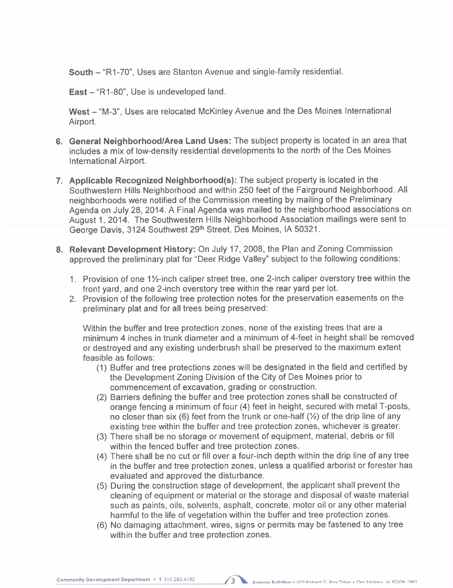South - "R1-70", Uses are Stanton Avenue and single-family residential.

East - "R1-80", Use is undeveloped land.

West - "M-3". Uses are relocated McKinley Avenue and the Des Moines International Airport.

- 6. General Neighborhood/Area Land Uses: The subject property is located in an area that includes a mix of low-density residential developments to the north of the Des Moines International Airport.
- 7. Applicable Recognized Neighborhood(s): The subject property is located in the Southwestern Hils Neighborhood and within 250 feet of the Fairground Neighborhood. All neighborhoods were notified of the Commission meeting by mailing of the Preliminary Agenda on July 28,2014. A Final Agenda was mailed to the neighborhood associations on August 1, 2014. The Southwestern Hills Neighborhood Association mailings were sent to George Davis, 3124 Southwest 29th Street, Des Moines, IA 50321.
- 8. Relevant Development History: On July 17, 2008, the Plan and Zoning Commission approved the preliminary plat for "Deer Ridge Valley" subject to the following conditions:
	- 1. Provision of one 1<sup>1</sup>/<sub>2</sub>-inch caliper street tree, one 2-inch caliper overstory tree within the front yard, and one 2-inch overstory tree within the rear yard per lot.
	- 2. Provision of the following tree protection notes for the preservation easements on the preliminary plat and for all trees being preserved:

Within the buffer and tree protection zones, none of the existing trees that are a minimum 4 inches in trunk diameter and a minimum of 4-feet in height shall be removed or destroyed and any existing underbrush shall be preserved to the maximum extent feasible as follows:

- (1) Buffer and tree protections zones will be designated in the field and certified by the Development Zoning Division of the City of Des Moines prior to commencement of excavation, grading or construction.
- (2) Barriers defining the buffer and tree protection zones shall be constructed of orange fencing a minimum of four (4) feet in height, secured with metal T-posts, no closer than six (6) feet from the trunk or one-half  $(\frac{1}{2})$  of the drip line of any existing tree within the buffer and tree protection zones, whichever is greater.
- (3) There shall be no storage or movement of equipment, material, debris or fill within the fenced buffer and tree protection zones.
- (4) There shall be no cut or fill over a four-inch depth within the drip line of any tree in the buffer and tree protection zones, unless a qualified arborist or forester has evaluated and approved the disturbance.
- (5) During the construction stage of development, the applicant shall prevent the cleaning of equipment or material or the storage and disposal of waste material such as paints, oils, solvents, asphalt, concrete, motor oil or any other material harmful to the life of vegetation within the buffer and tree protection zones.
- (6) No damaging attachment, wires, signs or permits may be fastened to any tree within the buffer and tree protection zones.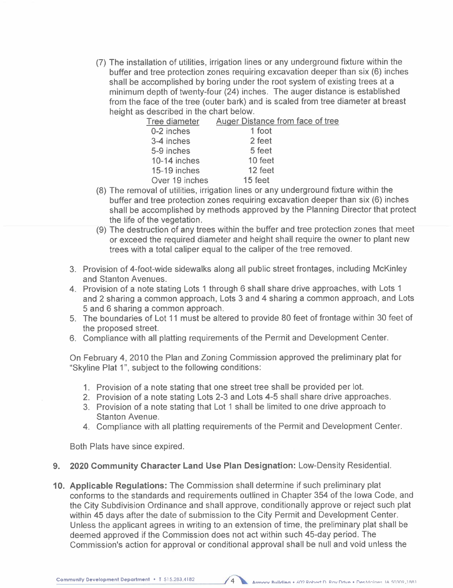(7) The installation of utilities, irrigation lines or any underground fixture within the buffer and tree protection zones requiring excavation deeper than six (6) inches shall be accomplished by boring under the root system of existing trees at a minimum depth of twenty-four (24) inches. The auger distance is established from the face of the tree (outer bark) and is scaled from tree diameter at breast height as described in the chart below.

| Tree diameter  | Auger Distance from face of tree |
|----------------|----------------------------------|
| 0-2 inches     | 1 foot                           |
| 3-4 inches     | 2 feet                           |
| 5-9 inches     | 5 feet                           |
| 10-14 inches   | 10 feet                          |
| 15-19 inches   | 12 feet                          |
| Over 19 inches | 15 feet                          |
|                |                                  |

- (8) The removal of utilities, irrigation lines or any underground fixture within the buffer and tree protection zones requiring excavation deeper than six (6) inches shall be accomplished by methods approved by the Planning Director that protect the life of the vegetation.
- (9) The destruction of any trees within the buffer and tree protection zones that meet or exceed the required diameter and height shall require the owner to plant new trees with a total caliper equal to the caliper of the tree removed.
- 3. Provision of 4-foot-wide sidewalks along all public street frontages, including McKinley and Stanton Avenues.
- 4. Provision of a note stating Lots 1 through 6 shall share drive approaches, with Lots 1 and 2 sharing a common approach, Lots 3 and 4 sharing a common approach, and Lots 5 and 6 sharing a common approach.
- 5. The boundaries of Lot 11 must be altered to provide 80 feet of frontage within 30 feet of the proposed street.
- 6. Compliance with all platting requirements of the Permit and Development Center.

On February 4, 2010 the Plan and Zoning Commission approved the preliminary plat for "Skyline Plat 1", subject to the following conditions:

- 1. Provision of a note stating that one street tree shall be provided per lot.
- 2. Provision of a note stating Lots 2-3 and Lots 4-5 shall share drive approaches.
- 3. Provision of a note stating that Lot 1 shall be limited to one drive approach to Stanton Avenue.
- 4. Compliance with all platting requirements of the Permit and Development Center.

Both Plats have since expired.

- 9. 2020 Community Character Land Use Plan Designation: Low-Density Residential.
- 10. Applicable Regulations: The Commission shall determine if such preliminary plat conforms to the standards and requirements outlined in Chapter 354 of the Iowa Code, and the City Subdivision Ordinance and shall approve, conditionally approve or reject such plat within 45 days after the date of submission to the City Permit and Development Center. Unless the applicant agrees in writing to an extension of time, the preliminary plat shall be deemed approved if the Commission does not act within such 45-day period. The Commission's action for approval or conditional approval shall be null and void unless the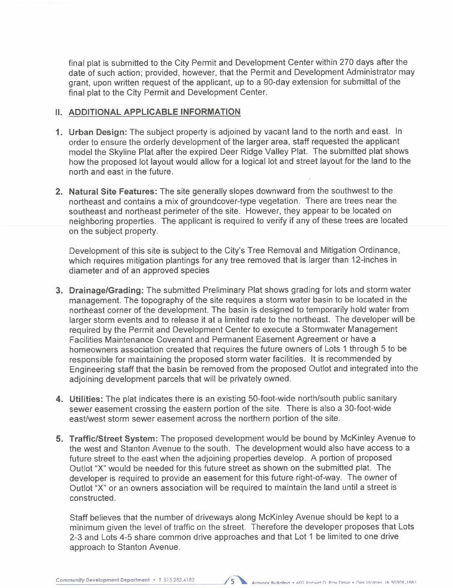final plat is submitted to the City Permit and Development Center within 270 days after the date of such action; provided, however, that the Permit and Development Administrator may grant, upon written request of the applicant, up to a 90-day extension for submittal of the final plat to the City Permit and Development Center.

### II. ADDITIONAL APPLICABLE INFORMATION

- 1. Urban Design: The subject property is adjoined by vacant land to the north and east. In order to ensure the orderly development of the larger area, staff requested the applicant model the Skyline Plat after the expired Deer Ridge Valley Plat. The submitted plat shows how the proposed lot layout would allow for a logical lot and street layout for the land to the north and east in the future.
- 2. Natural Site Features: The site generally slopes downward from the southwest to the northeast and contains a mix of groundcover-type vegetation. There are trees near the southeast and northeast perimeter of the site. However, they appear to be located on neighboring properties. The applicant is required to verify if any of these trees are located on the subject property.

Development of this site is subject to the City's Tree Removal and Mitigation Ordinance, which requires mitigation plantings for any tree removed that is larger than 12-inches in diameter and of an approved species

- 3. Drainage/Grading: The submitted Preliminary Plat shows grading for lots and storm water management. The topography of the site requires a storm water basin to be located in the northeast corner of the development. The basin is designed to temporarily hold water from larger storm events and to release it at a limited rate to the northeast. The developer will be required by the Permit and Development Center to execute a Stormwater Management Facilities Maintenance Covenant and Permanent Easement Agreement or have a homeowners association created that requires the future owners of Lots 1 through 5 to be responsible for maintaining the proposed storm water facilities. It is recommended by Engineering staff that the basin be removed from the proposed Outlot and integrated into the adjoining development parcels that will be privately owned.
- 4. Utilities: The plat indicates there is an existing 50-foot-wide north/south public sanitary sewer easement crossing the eastern portion of the site. There is also a 30-foot-wide east/west storm sewer easement across the northern portion of the site.
- 5. Traffic/Street System: The proposed development would be bound by McKinley Avenue to the west and Stanton Avenue to the south. The development would also have access to a future street to the east when the adjoining properties develop. A portion of proposed Outlot "X" would be needed for this future street as shown on the submitted plat. The developer is required to provide an easement for this future right-of-way. The owner of Outlot "X" or an owners association wil be required to maintain the land until a street is constructed.

Staff believes that the number of driveways along McKinley Avenue should be kept to a minimum given the level of traffic on the street. Therefore the developer proposes that Lots 2-3 and Lots 4-5 share common drive approaches and that Lot 1 be limited to one drive approach to Stanton Avenue.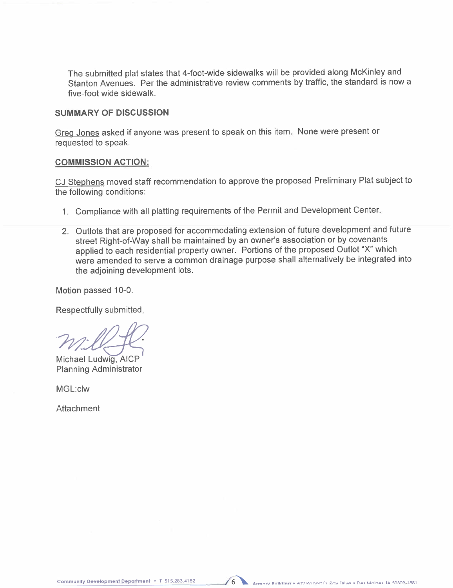The submitted plat states that 4-foot-wide sidewalks will be provided along McKinley and Stanton Avenues. Per the administrative review comments by traffic, the standard is now a five-foot wide sidewalk.

#### SUMMARY OF DISCUSSION

Greq Jones asked if anyone was present to speak on this item. None were present or requested to speak.

#### COMMISSION ACTION:

CJ Stephens moved staff recommendation to approve the proposed Preliminary Plat subject to the following conditions:

- 1. Compliance with all platting requirements of the Permit and Development Center.
- 2. Outlots that are proposed for accommodating extension of future development and future street Right-of-Way shall be maintained by an owner's association or by covenants applied to each residential property owner. Portions of the proposed Outlot "X" which were amended to serve a common drainage purpose shall alternatively be integrated into the adjoining development lots.

Motion passed 10-0.

Respectfully submitted,

 $m_i\ell\ell_{\mathcal{F}}$ <br>Michael Ludwig, AICP

Planning Administrator

MGL:clw

Attachment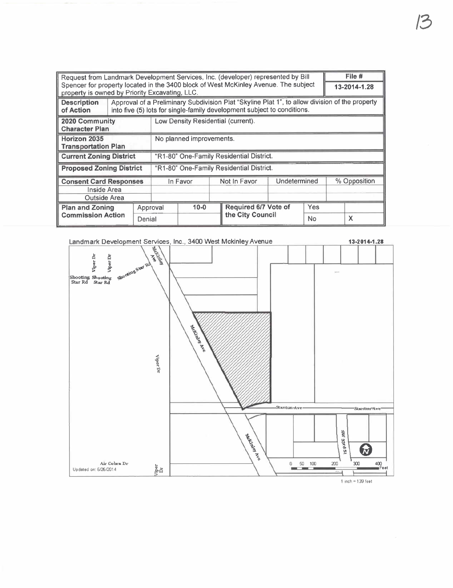| Request from Landmark Development Services, Inc. (developer) represented by Bill                                                      |          |                                                                                                                                                                           |                                          |          |              | File $#$             |  |              |  |   |
|---------------------------------------------------------------------------------------------------------------------------------------|----------|---------------------------------------------------------------------------------------------------------------------------------------------------------------------------|------------------------------------------|----------|--------------|----------------------|--|--------------|--|---|
| Spencer for property located in the 3400 block of West McKinley Avenue. The subject<br>property is owned by Priority Excavating, LLC. |          |                                                                                                                                                                           |                                          |          |              | 13-2014-1.28         |  |              |  |   |
| <b>Description</b><br>of Action                                                                                                       |          | Approval of a Preliminary Subdivision Plat "Skyline Plat 1", to allow division of the property<br>into five (5) lots for single-family development subject to conditions. |                                          |          |              |                      |  |              |  |   |
| 2020 Community<br><b>Character Plan</b>                                                                                               |          |                                                                                                                                                                           | Low Density Residential (current).       |          |              |                      |  |              |  |   |
| Horizon 2035<br><b>Transportation Plan</b>                                                                                            |          |                                                                                                                                                                           | No planned improvements.                 |          |              |                      |  |              |  |   |
| <b>Current Zoning District</b>                                                                                                        |          |                                                                                                                                                                           | "R1-80" One-Family Residential District. |          |              |                      |  |              |  |   |
| <b>Proposed Zoning District</b>                                                                                                       |          |                                                                                                                                                                           | "R1-80" One-Family Residential District. |          |              |                      |  |              |  |   |
| <b>Consent Card Responses</b><br>Inside Area<br>Outside Area                                                                          |          | In Favor                                                                                                                                                                  |                                          |          | Not In Favor | Undetermined         |  | % Opposition |  |   |
| <b>Plan and Zoning</b>                                                                                                                | Approval |                                                                                                                                                                           |                                          | $10 - 0$ |              | Required 6/7 Vote of |  | Yes          |  |   |
| <b>Commission Action</b>                                                                                                              |          | Denial                                                                                                                                                                    |                                          |          |              | the City Council     |  | No           |  | X |